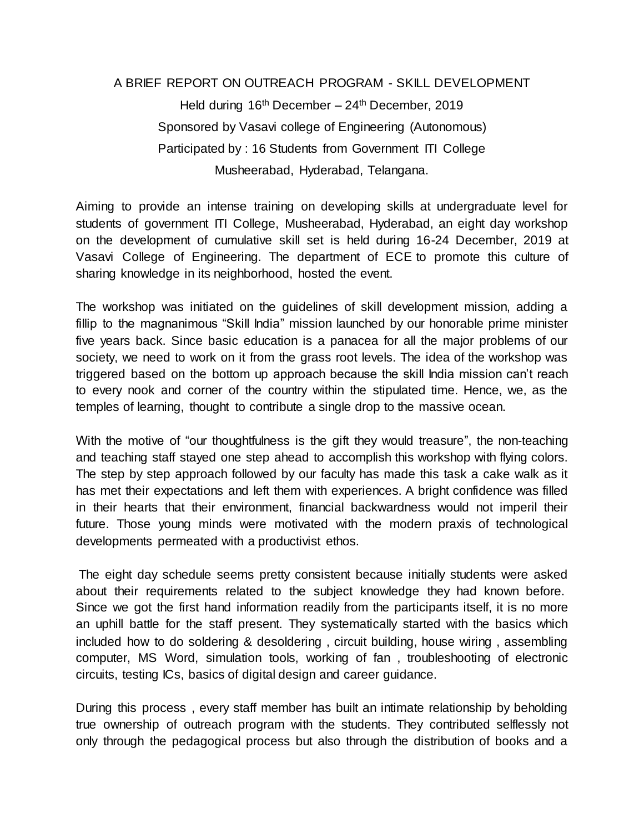## A BRIEF REPORT ON OUTREACH PROGRAM - SKILL DEVELOPMENT Held during  $16<sup>th</sup>$  December –  $24<sup>th</sup>$  December, 2019 Sponsored by Vasavi college of Engineering (Autonomous) Participated by : 16 Students from Government ITI College Musheerabad, Hyderabad, Telangana.

Aiming to provide an intense training on developing skills at undergraduate level for students of government ITI College, Musheerabad, Hyderabad, an eight day workshop on the development of cumulative skill set is held during 16-24 December, 2019 at Vasavi College of Engineering. The department of ECE to promote this culture of sharing knowledge in its neighborhood, hosted the event.

The workshop was initiated on the guidelines of skill development mission, adding a fillip to the magnanimous "Skill India" mission launched by our honorable prime minister five years back. Since basic education is a panacea for all the major problems of our society, we need to work on it from the grass root levels. The idea of the workshop was triggered based on the bottom up approach because the skill India mission can't reach to every nook and corner of the country within the stipulated time. Hence, we, as the temples of learning, thought to contribute a single drop to the massive ocean.

With the motive of "our thoughtfulness is the gift they would treasure", the non-teaching and teaching staff stayed one step ahead to accomplish this workshop with flying colors. The step by step approach followed by our faculty has made this task a cake walk as it has met their expectations and left them with experiences. A bright confidence was filled in their hearts that their environment, financial backwardness would not imperil their future. Those young minds were motivated with the modern praxis of technological developments permeated with a productivist ethos.

The eight day schedule seems pretty consistent because initially students were asked about their requirements related to the subject knowledge they had known before. Since we got the first hand information readily from the participants itself, it is no more an uphill battle for the staff present. They systematically started with the basics which included how to do soldering & desoldering , circuit building, house wiring , assembling computer, MS Word, simulation tools, working of fan , troubleshooting of electronic circuits, testing ICs, basics of digital design and career guidance.

During this process , every staff member has built an intimate relationship by beholding true ownership of outreach program with the students. They contributed selflessly not only through the pedagogical process but also through the distribution of books and a